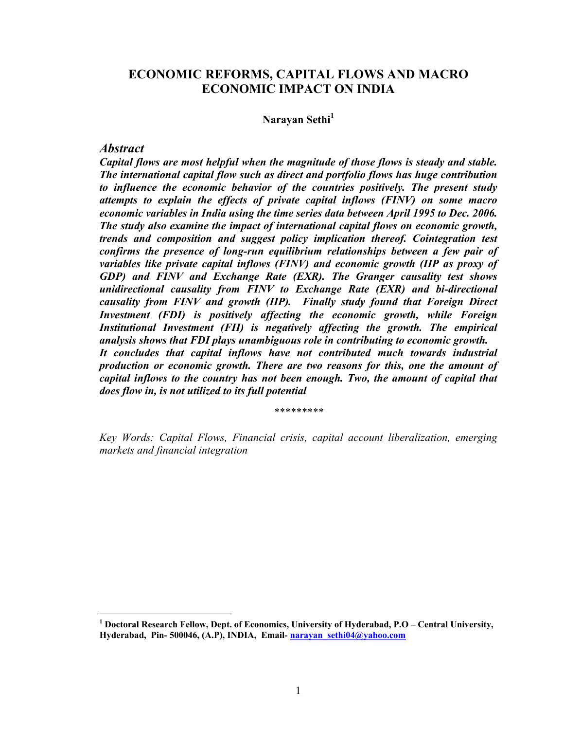# **ECONOMIC REFORMS, CAPITAL FLOWS AND MACRO ECONOMIC IMPACT ON INDIA**

Narayan Sethi<sup>1</sup>

*Abstract* 

 $\overline{a}$ 

*Capital flows are most helpful when the magnitude of those flows is steady and stable. The international capital flow such as direct and portfolio flows has huge contribution to influence the economic behavior of the countries positively. The present study attempts to explain the effects of private capital inflows (FINV) on some macro economic variables in India using the time series data between April 1995 to Dec. 2006. The study also examine the impact of international capital flows on economic growth, trends and composition and suggest policy implication thereof. Cointegration test confirms the presence of long-run equilibrium relationships between a few pair of variables like private capital inflows (FINV) and economic growth (IIP as proxy of GDP) and FINV and Exchange Rate (EXR). The Granger causality test shows unidirectional causality from FINV to Exchange Rate (EXR) and bi-directional causality from FINV and growth (IIP). Finally study found that Foreign Direct Investment (FDI) is positively affecting the economic growth, while Foreign Institutional Investment (FII) is negatively affecting the growth. The empirical analysis shows that FDI plays unambiguous role in contributing to economic growth. It concludes that capital inflows have not contributed much towards industrial production or economic growth. There are two reasons for this, one the amount of capital inflows to the country has not been enough. Two, the amount of capital that does flow in, is not utilized to its full potential* 

*\*\*\*\*\*\*\*\*\** 

*Key Words: Capital Flows, Financial crisis, capital account liberalization, emerging markets and financial integration* 

**<sup>1</sup> Doctoral Research Fellow, Dept. of Economics, University of Hyderabad, P.O – Central University, Hyderabad, Pin- 500046, (A.P), INDIA, Email- narayan\_sethi04@yahoo.com**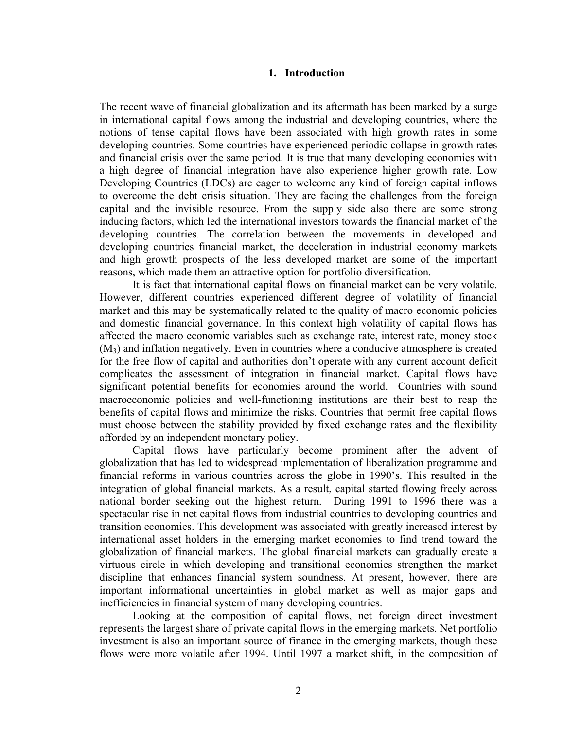#### **1. Introduction**

The recent wave of financial globalization and its aftermath has been marked by a surge in international capital flows among the industrial and developing countries, where the notions of tense capital flows have been associated with high growth rates in some developing countries. Some countries have experienced periodic collapse in growth rates and financial crisis over the same period. It is true that many developing economies with a high degree of financial integration have also experience higher growth rate. Low Developing Countries (LDCs) are eager to welcome any kind of foreign capital inflows to overcome the debt crisis situation. They are facing the challenges from the foreign capital and the invisible resource. From the supply side also there are some strong inducing factors, which led the international investors towards the financial market of the developing countries. The correlation between the movements in developed and developing countries financial market, the deceleration in industrial economy markets and high growth prospects of the less developed market are some of the important reasons, which made them an attractive option for portfolio diversification.

It is fact that international capital flows on financial market can be very volatile. However, different countries experienced different degree of volatility of financial market and this may be systematically related to the quality of macro economic policies and domestic financial governance. In this context high volatility of capital flows has affected the macro economic variables such as exchange rate, interest rate, money stock (M3) and inflation negatively. Even in countries where a conducive atmosphere is created for the free flow of capital and authorities don't operate with any current account deficit complicates the assessment of integration in financial market. Capital flows have significant potential benefits for economies around the world. Countries with sound macroeconomic policies and well-functioning institutions are their best to reap the benefits of capital flows and minimize the risks. Countries that permit free capital flows must choose between the stability provided by fixed exchange rates and the flexibility afforded by an independent monetary policy.

Capital flows have particularly become prominent after the advent of globalization that has led to widespread implementation of liberalization programme and financial reforms in various countries across the globe in 1990's. This resulted in the integration of global financial markets. As a result, capital started flowing freely across national border seeking out the highest return. During 1991 to 1996 there was a spectacular rise in net capital flows from industrial countries to developing countries and transition economies. This development was associated with greatly increased interest by international asset holders in the emerging market economies to find trend toward the globalization of financial markets. The global financial markets can gradually create a virtuous circle in which developing and transitional economies strengthen the market discipline that enhances financial system soundness. At present, however, there are important informational uncertainties in global market as well as major gaps and inefficiencies in financial system of many developing countries.

Looking at the composition of capital flows, net foreign direct investment represents the largest share of private capital flows in the emerging markets. Net portfolio investment is also an important source of finance in the emerging markets, though these flows were more volatile after 1994. Until 1997 a market shift, in the composition of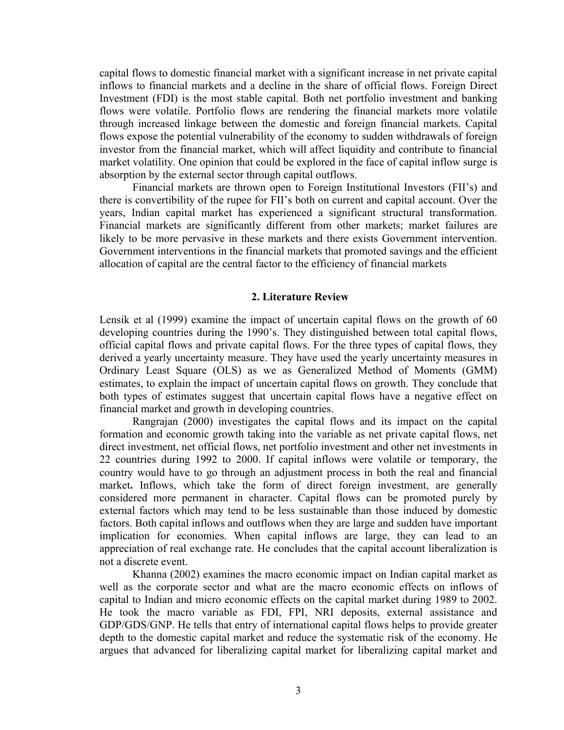capital flows to domestic financial market with a significant increase in net private capital inflows to financial markets and a decline in the share of official flows. Foreign Direct Investment (FDI) is the most stable capital. Both net portfolio investment and banking flows were volatile. Portfolio flows are rendering the financial markets more volatile through increased linkage between the domestic and foreign financial markets. Capital flows expose the potential vulnerability of the economy to sudden withdrawals of foreign investor from the financial market, which will affect liquidity and contribute to financial market volatility. One opinion that could be explored in the face of capital inflow surge is absorption by the external sector through capital outflows.

Financial markets are thrown open to Foreign Institutional Investors (FII's) and there is convertibility of the rupee for FII's both on current and capital account. Over the years, Indian capital market has experienced a significant structural transformation. Financial markets are significantly different from other markets; market failures are likely to be more pervasive in these markets and there exists Government intervention. Government interventions in the financial markets that promoted savings and the efficient allocation of capital are the central factor to the efficiency of financial markets

#### **2. Literature Review**

Lensik et al (1999) examine the impact of uncertain capital flows on the growth of 60 developing countries during the 1990's. They distinguished between total capital flows, official capital flows and private capital flows. For the three types of capital flows, they derived a yearly uncertainty measure. They have used the yearly uncertainty measures in Ordinary Least Square (OLS) as we as Generalized Method of Moments (GMM) estimates, to explain the impact of uncertain capital flows on growth. They conclude that both types of estimates suggest that uncertain capital flows have a negative effect on financial market and growth in developing countries.

Rangrajan (2000) investigates the capital flows and its impact on the capital formation and economic growth taking into the variable as net private capital flows, net direct investment, net official flows, net portfolio investment and other net investments in 22 countries during 1992 to 2000. If capital inflows were volatile or temporary, the country would have to go through an adjustment process in both the real and financial market**.** Inflows, which take the form of direct foreign investment, are generally considered more permanent in character. Capital flows can be promoted purely by external factors which may tend to be less sustainable than those induced by domestic factors. Both capital inflows and outflows when they are large and sudden have important implication for economies. When capital inflows are large, they can lead to an appreciation of real exchange rate. He concludes that the capital account liberalization is not a discrete event.

Khanna (2002) examines the macro economic impact on Indian capital market as well as the corporate sector and what are the macro economic effects on inflows of capital to Indian and micro economic effects on the capital market during 1989 to 2002. He took the macro variable as FDI, FPI, NRI deposits, external assistance and GDP/GDS/GNP. He tells that entry of international capital flows helps to provide greater depth to the domestic capital market and reduce the systematic risk of the economy. He argues that advanced for liberalizing capital market for liberalizing capital market and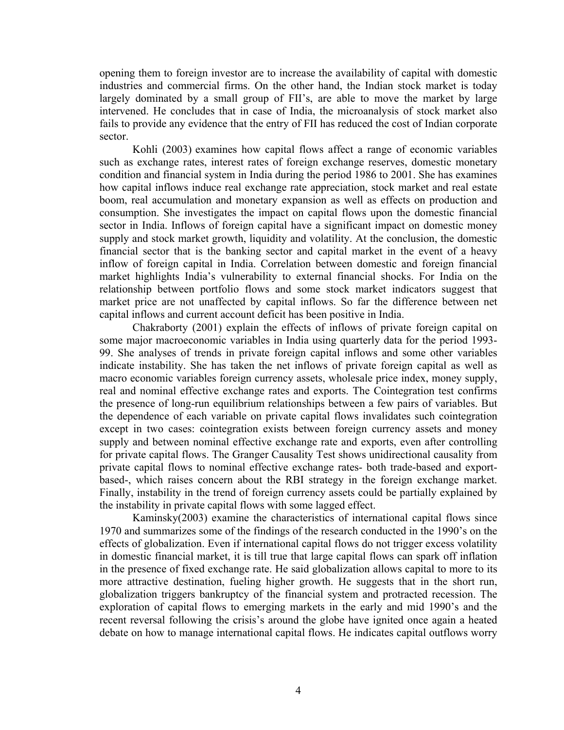opening them to foreign investor are to increase the availability of capital with domestic industries and commercial firms. On the other hand, the Indian stock market is today largely dominated by a small group of FII's, are able to move the market by large intervened. He concludes that in case of India, the microanalysis of stock market also fails to provide any evidence that the entry of FII has reduced the cost of Indian corporate sector.

Kohli (2003) examines how capital flows affect a range of economic variables such as exchange rates, interest rates of foreign exchange reserves, domestic monetary condition and financial system in India during the period 1986 to 2001. She has examines how capital inflows induce real exchange rate appreciation, stock market and real estate boom, real accumulation and monetary expansion as well as effects on production and consumption. She investigates the impact on capital flows upon the domestic financial sector in India. Inflows of foreign capital have a significant impact on domestic money supply and stock market growth, liquidity and volatility. At the conclusion, the domestic financial sector that is the banking sector and capital market in the event of a heavy inflow of foreign capital in India. Correlation between domestic and foreign financial market highlights India's vulnerability to external financial shocks. For India on the relationship between portfolio flows and some stock market indicators suggest that market price are not unaffected by capital inflows. So far the difference between net capital inflows and current account deficit has been positive in India.

Chakraborty (2001) explain the effects of inflows of private foreign capital on some major macroeconomic variables in India using quarterly data for the period 1993- 99. She analyses of trends in private foreign capital inflows and some other variables indicate instability. She has taken the net inflows of private foreign capital as well as macro economic variables foreign currency assets, wholesale price index, money supply, real and nominal effective exchange rates and exports. The Cointegration test confirms the presence of long-run equilibrium relationships between a few pairs of variables. But the dependence of each variable on private capital flows invalidates such cointegration except in two cases: cointegration exists between foreign currency assets and money supply and between nominal effective exchange rate and exports, even after controlling for private capital flows. The Granger Causality Test shows unidirectional causality from private capital flows to nominal effective exchange rates- both trade-based and exportbased-, which raises concern about the RBI strategy in the foreign exchange market. Finally, instability in the trend of foreign currency assets could be partially explained by the instability in private capital flows with some lagged effect.

Kaminsky(2003) examine the characteristics of international capital flows since 1970 and summarizes some of the findings of the research conducted in the 1990's on the effects of globalization. Even if international capital flows do not trigger excess volatility in domestic financial market, it is till true that large capital flows can spark off inflation in the presence of fixed exchange rate. He said globalization allows capital to more to its more attractive destination, fueling higher growth. He suggests that in the short run, globalization triggers bankruptcy of the financial system and protracted recession. The exploration of capital flows to emerging markets in the early and mid 1990's and the recent reversal following the crisis's around the globe have ignited once again a heated debate on how to manage international capital flows. He indicates capital outflows worry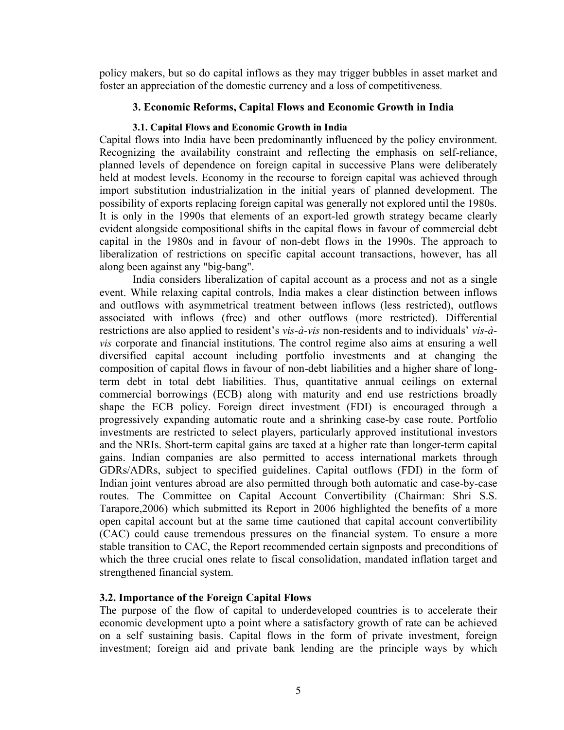policy makers, but so do capital inflows as they may trigger bubbles in asset market and foster an appreciation of the domestic currency and a loss of competitiveness.

## **3. Economic Reforms, Capital Flows and Economic Growth in India**

### **3.1. Capital Flows and Economic Growth in India**

Capital flows into India have been predominantly influenced by the policy environment. Recognizing the availability constraint and reflecting the emphasis on self-reliance, planned levels of dependence on foreign capital in successive Plans were deliberately held at modest levels. Economy in the recourse to foreign capital was achieved through import substitution industrialization in the initial years of planned development. The possibility of exports replacing foreign capital was generally not explored until the 1980s. It is only in the 1990s that elements of an export-led growth strategy became clearly evident alongside compositional shifts in the capital flows in favour of commercial debt capital in the 1980s and in favour of non-debt flows in the 1990s. The approach to liberalization of restrictions on specific capital account transactions, however, has all along been against any "big-bang".

India considers liberalization of capital account as a process and not as a single event. While relaxing capital controls, India makes a clear distinction between inflows and outflows with asymmetrical treatment between inflows (less restricted), outflows associated with inflows (free) and other outflows (more restricted). Differential restrictions are also applied to resident's *vis-à-vis* non-residents and to individuals' *vis-àvis* corporate and financial institutions. The control regime also aims at ensuring a well diversified capital account including portfolio investments and at changing the composition of capital flows in favour of non-debt liabilities and a higher share of longterm debt in total debt liabilities. Thus, quantitative annual ceilings on external commercial borrowings (ECB) along with maturity and end use restrictions broadly shape the ECB policy. Foreign direct investment (FDI) is encouraged through a progressively expanding automatic route and a shrinking case-by case route. Portfolio investments are restricted to select players, particularly approved institutional investors and the NRIs. Short-term capital gains are taxed at a higher rate than longer-term capital gains. Indian companies are also permitted to access international markets through GDRs/ADRs, subject to specified guidelines. Capital outflows (FDI) in the form of Indian joint ventures abroad are also permitted through both automatic and case-by-case routes. The Committee on Capital Account Convertibility (Chairman: Shri S.S. Tarapore,2006) which submitted its Report in 2006 highlighted the benefits of a more open capital account but at the same time cautioned that capital account convertibility (CAC) could cause tremendous pressures on the financial system. To ensure a more stable transition to CAC, the Report recommended certain signposts and preconditions of which the three crucial ones relate to fiscal consolidation, mandated inflation target and strengthened financial system.

# **3.2. Importance of the Foreign Capital Flows**

The purpose of the flow of capital to underdeveloped countries is to accelerate their economic development upto a point where a satisfactory growth of rate can be achieved on a self sustaining basis. Capital flows in the form of private investment, foreign investment; foreign aid and private bank lending are the principle ways by which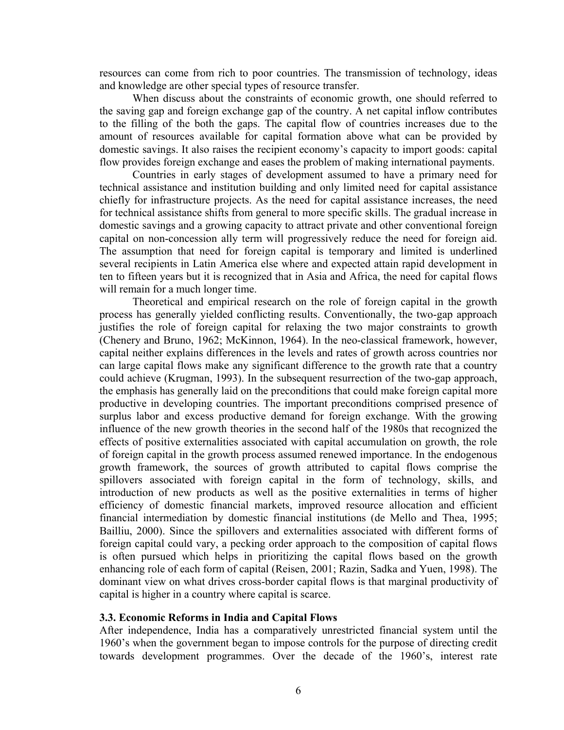resources can come from rich to poor countries. The transmission of technology, ideas and knowledge are other special types of resource transfer.

When discuss about the constraints of economic growth, one should referred to the saving gap and foreign exchange gap of the country. A net capital inflow contributes to the filling of the both the gaps. The capital flow of countries increases due to the amount of resources available for capital formation above what can be provided by domestic savings. It also raises the recipient economy's capacity to import goods: capital flow provides foreign exchange and eases the problem of making international payments.

Countries in early stages of development assumed to have a primary need for technical assistance and institution building and only limited need for capital assistance chiefly for infrastructure projects. As the need for capital assistance increases, the need for technical assistance shifts from general to more specific skills. The gradual increase in domestic savings and a growing capacity to attract private and other conventional foreign capital on non-concession ally term will progressively reduce the need for foreign aid. The assumption that need for foreign capital is temporary and limited is underlined several recipients in Latin America else where and expected attain rapid development in ten to fifteen years but it is recognized that in Asia and Africa, the need for capital flows will remain for a much longer time.

Theoretical and empirical research on the role of foreign capital in the growth process has generally yielded conflicting results. Conventionally, the two-gap approach justifies the role of foreign capital for relaxing the two major constraints to growth (Chenery and Bruno, 1962; McKinnon, 1964). In the neo-classical framework, however, capital neither explains differences in the levels and rates of growth across countries nor can large capital flows make any significant difference to the growth rate that a country could achieve (Krugman, 1993). In the subsequent resurrection of the two-gap approach, the emphasis has generally laid on the preconditions that could make foreign capital more productive in developing countries. The important preconditions comprised presence of surplus labor and excess productive demand for foreign exchange. With the growing influence of the new growth theories in the second half of the 1980s that recognized the effects of positive externalities associated with capital accumulation on growth, the role of foreign capital in the growth process assumed renewed importance. In the endogenous growth framework, the sources of growth attributed to capital flows comprise the spillovers associated with foreign capital in the form of technology, skills, and introduction of new products as well as the positive externalities in terms of higher efficiency of domestic financial markets, improved resource allocation and efficient financial intermediation by domestic financial institutions (de Mello and Thea, 1995; Bailliu, 2000). Since the spillovers and externalities associated with different forms of foreign capital could vary, a pecking order approach to the composition of capital flows is often pursued which helps in prioritizing the capital flows based on the growth enhancing role of each form of capital (Reisen, 2001; Razin, Sadka and Yuen, 1998). The dominant view on what drives cross-border capital flows is that marginal productivity of capital is higher in a country where capital is scarce.

#### **3.3. Economic Reforms in India and Capital Flows**

After independence, India has a comparatively unrestricted financial system until the 1960's when the government began to impose controls for the purpose of directing credit towards development programmes. Over the decade of the 1960's, interest rate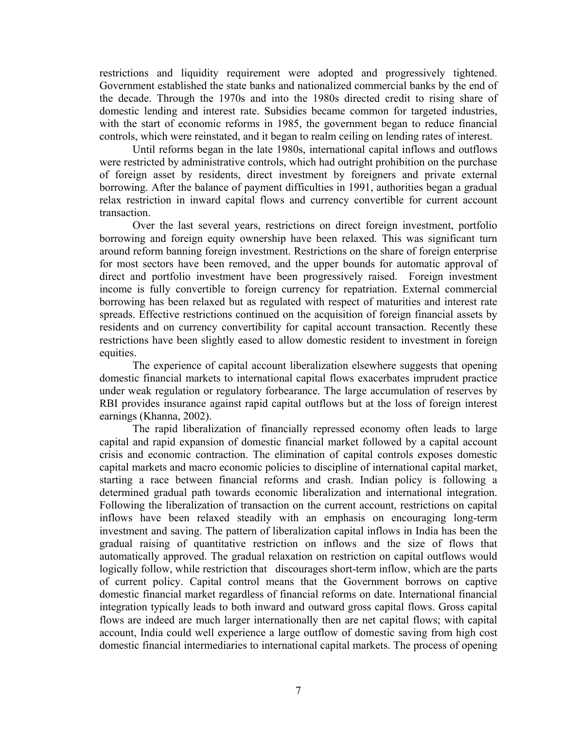restrictions and liquidity requirement were adopted and progressively tightened. Government established the state banks and nationalized commercial banks by the end of the decade. Through the 1970s and into the 1980s directed credit to rising share of domestic lending and interest rate. Subsidies became common for targeted industries, with the start of economic reforms in 1985, the government began to reduce financial controls, which were reinstated, and it began to realm ceiling on lending rates of interest.

Until reforms began in the late 1980s, international capital inflows and outflows were restricted by administrative controls, which had outright prohibition on the purchase of foreign asset by residents, direct investment by foreigners and private external borrowing. After the balance of payment difficulties in 1991, authorities began a gradual relax restriction in inward capital flows and currency convertible for current account transaction.

Over the last several years, restrictions on direct foreign investment, portfolio borrowing and foreign equity ownership have been relaxed. This was significant turn around reform banning foreign investment. Restrictions on the share of foreign enterprise for most sectors have been removed, and the upper bounds for automatic approval of direct and portfolio investment have been progressively raised. Foreign investment income is fully convertible to foreign currency for repatriation. External commercial borrowing has been relaxed but as regulated with respect of maturities and interest rate spreads. Effective restrictions continued on the acquisition of foreign financial assets by residents and on currency convertibility for capital account transaction. Recently these restrictions have been slightly eased to allow domestic resident to investment in foreign equities.

The experience of capital account liberalization elsewhere suggests that opening domestic financial markets to international capital flows exacerbates imprudent practice under weak regulation or regulatory forbearance. The large accumulation of reserves by RBI provides insurance against rapid capital outflows but at the loss of foreign interest earnings (Khanna, 2002).

The rapid liberalization of financially repressed economy often leads to large capital and rapid expansion of domestic financial market followed by a capital account crisis and economic contraction. The elimination of capital controls exposes domestic capital markets and macro economic policies to discipline of international capital market, starting a race between financial reforms and crash. Indian policy is following a determined gradual path towards economic liberalization and international integration. Following the liberalization of transaction on the current account, restrictions on capital inflows have been relaxed steadily with an emphasis on encouraging long-term investment and saving. The pattern of liberalization capital inflows in India has been the gradual raising of quantitative restriction on inflows and the size of flows that automatically approved. The gradual relaxation on restriction on capital outflows would logically follow, while restriction that discourages short-term inflow, which are the parts of current policy. Capital control means that the Government borrows on captive domestic financial market regardless of financial reforms on date. International financial integration typically leads to both inward and outward gross capital flows. Gross capital flows are indeed are much larger internationally then are net capital flows; with capital account, India could well experience a large outflow of domestic saving from high cost domestic financial intermediaries to international capital markets. The process of opening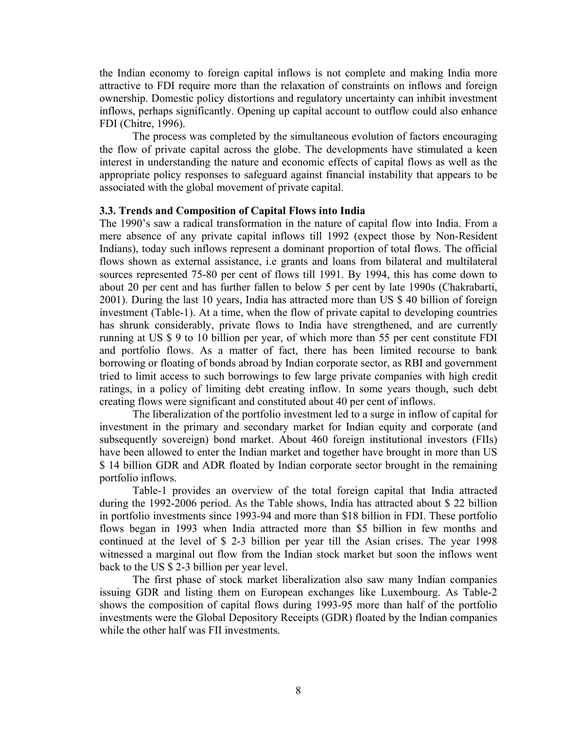the Indian economy to foreign capital inflows is not complete and making India more attractive to FDI require more than the relaxation of constraints on inflows and foreign ownership. Domestic policy distortions and regulatory uncertainty can inhibit investment inflows, perhaps significantly. Opening up capital account to outflow could also enhance FDI (Chitre, 1996).

The process was completed by the simultaneous evolution of factors encouraging the flow of private capital across the globe. The developments have stimulated a keen interest in understanding the nature and economic effects of capital flows as well as the appropriate policy responses to safeguard against financial instability that appears to be associated with the global movement of private capital.

#### **3.3. Trends and Composition of Capital Flows into India**

The 1990's saw a radical transformation in the nature of capital flow into India. From a mere absence of any private capital inflows till 1992 (expect those by Non-Resident Indians), today such inflows represent a dominant proportion of total flows. The official flows shown as external assistance, i.e grants and loans from bilateral and multilateral sources represented 75-80 per cent of flows till 1991. By 1994, this has come down to about 20 per cent and has further fallen to below 5 per cent by late 1990s (Chakrabarti, 2001). During the last 10 years, India has attracted more than US \$ 40 billion of foreign investment (Table-1). At a time, when the flow of private capital to developing countries has shrunk considerably, private flows to India have strengthened, and are currently running at US \$ 9 to 10 billion per year, of which more than 55 per cent constitute FDI and portfolio flows. As a matter of fact, there has been limited recourse to bank borrowing or floating of bonds abroad by Indian corporate sector, as RBI and government tried to limit access to such borrowings to few large private companies with high credit ratings, in a policy of limiting debt creating inflow. In some years though, such debt creating flows were significant and constituted about 40 per cent of inflows.

The liberalization of the portfolio investment led to a surge in inflow of capital for investment in the primary and secondary market for Indian equity and corporate (and subsequently sovereign) bond market. About 460 foreign institutional investors (FIIs) have been allowed to enter the Indian market and together have brought in more than US \$ 14 billion GDR and ADR floated by Indian corporate sector brought in the remaining portfolio inflows.

Table-1 provides an overview of the total foreign capital that India attracted during the 1992-2006 period. As the Table shows, India has attracted about \$ 22 billion in portfolio investments since 1993-94 and more than \$18 billion in FDI. These portfolio flows began in 1993 when India attracted more than \$5 billion in few months and continued at the level of \$ 2-3 billion per year till the Asian crises. The year 1998 witnessed a marginal out flow from the Indian stock market but soon the inflows went back to the US \$ 2-3 billion per year level.

The first phase of stock market liberalization also saw many Indian companies issuing GDR and listing them on European exchanges like Luxembourg. As Table-2 shows the composition of capital flows during 1993-95 more than half of the portfolio investments were the Global Depository Receipts (GDR) floated by the Indian companies while the other half was FII investments.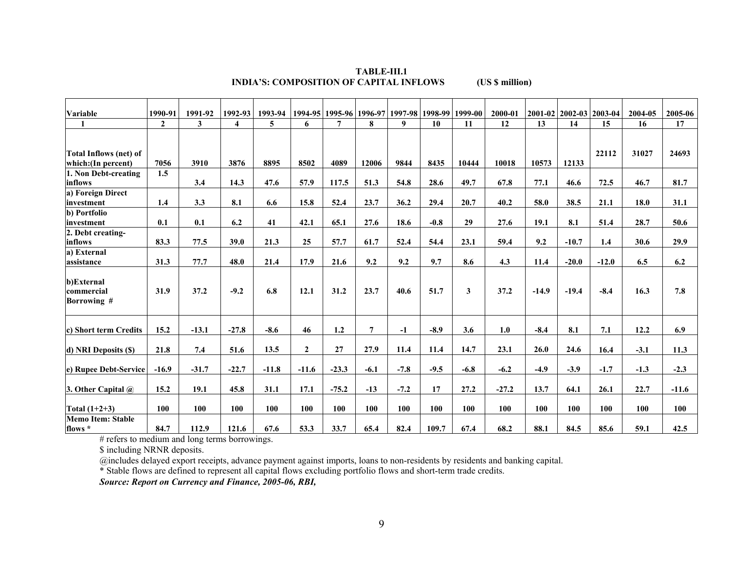**TABLE-III.1 INDIA'S: COMPOSITION OF CAPITAL INFLOWS (US \$ million)**

| Variable                                | 1990-91      | 1991-92      | 1992-93 | 1993-94 | 1994-95   1995-96   1996-97   1997-98   1998-99   1999-00 |                |                |        |        |        | 2000-01 |         | 2001-02 2002-03 2003-04 |         | 2004-05 | 2005-06 |
|-----------------------------------------|--------------|--------------|---------|---------|-----------------------------------------------------------|----------------|----------------|--------|--------|--------|---------|---------|-------------------------|---------|---------|---------|
| 1                                       | $\mathbf{2}$ | $\mathbf{3}$ | 4       | 5       | 6                                                         | $\overline{7}$ | 8              | 9      | 10     | 11     | 12      | 13      | 14                      | 15      | 16      | 17      |
|                                         |              |              |         |         |                                                           |                |                |        |        |        |         |         |                         |         |         |         |
| Total Inflows (net) of                  | 7056         | 3910         | 3876    | 8895    | 8502                                                      | 4089           | 12006          | 9844   | 8435   | 10444  | 10018   | 10573   | 12133                   | 22112   | 31027   | 24693   |
| which: (In percent)                     | 1.5          |              |         |         |                                                           |                |                |        |        |        |         |         |                         |         |         |         |
| 1. Non Debt-creating<br>inflows         |              | 3.4          | 14.3    | 47.6    | 57.9                                                      | 117.5          | 51.3           | 54.8   | 28.6   | 49.7   | 67.8    | 77.1    | 46.6                    | 72.5    | 46.7    | 81.7    |
| a) Foreign Direct                       |              |              |         |         |                                                           |                |                |        |        |        |         |         |                         |         |         |         |
| investment                              | 1.4          | 3.3          | 8.1     | 6.6     | 15.8                                                      | 52.4           | 23.7           | 36.2   | 29.4   | 20.7   | 40.2    | 58.0    | 38.5                    | 21.1    | 18.0    | 31.1    |
| b) Portfolio                            |              |              |         |         |                                                           |                |                |        |        |        |         |         |                         |         |         |         |
| linvestment                             | 0.1          | 0.1          | 6.2     | 41      | 42.1                                                      | 65.1           | 27.6           | 18.6   | $-0.8$ | 29     | 27.6    | 19.1    | 8.1                     | 51.4    | 28.7    | 50.6    |
| 2. Debt creating-                       |              |              |         |         |                                                           |                |                |        |        |        |         |         |                         |         |         |         |
| <i>inflows</i>                          | 83.3         | 77.5         | 39.0    | 21.3    | 25                                                        | 57.7           | 61.7           | 52.4   | 54.4   | 23.1   | 59.4    | 9.2     | $-10.7$                 | 1.4     | 30.6    | 29.9    |
| a) External<br>assistance               | 31.3         | 77.7         | 48.0    | 21.4    | 17.9                                                      | 21.6           | 9.2            | 9.2    | 9.7    | 8.6    | 4.3     | 11.4    | $-20.0$                 | $-12.0$ | 6.5     | 6.2     |
|                                         |              |              |         |         |                                                           |                |                |        |        |        |         |         |                         |         |         |         |
| b)External<br>commercial<br>Borrowing # | 31.9         | 37.2         | $-9.2$  | 6.8     | 12.1                                                      | 31.2           | 23.7           | 40.6   | 51.7   | 3      | 37.2    | $-14.9$ | $-19.4$                 | $-8.4$  | 16.3    | 7.8     |
| c) Short term Credits                   | 15.2         | $-13.1$      | $-27.8$ | $-8.6$  | 46                                                        | 1.2            | $\overline{7}$ | $-1$   | $-8.9$ | 3.6    | 1.0     | $-8.4$  | 8.1                     | 7.1     | 12.2    | 6.9     |
| d) NRI Deposits (\$)                    | 21.8         | 7.4          | 51.6    | 13.5    | $\boldsymbol{2}$                                          | 27             | 27.9           | 11.4   | 11.4   | 14.7   | 23.1    | 26.0    | 24.6                    | 16.4    | $-3.1$  | 11.3    |
| e) Rupee Debt-Service                   | $-16.9$      | $-31.7$      | $-22.7$ | $-11.8$ | $-11.6$                                                   | $-23.3$        | $-6.1$         | $-7.8$ | $-9.5$ | $-6.8$ | $-6.2$  | $-4.9$  | $-3.9$                  | $-1.7$  | $-1.3$  | $-2.3$  |
| 3. Other Capital $\omega$               | 15.2         | 19.1         | 45.8    | 31.1    | 17.1                                                      | $-75.2$        | $-13$          | $-7.2$ | 17     | 27.2   | $-27.2$ | 13.7    | 64.1                    | 26.1    | 22.7    | $-11.6$ |
| Total $(1+2+3)$                         | 100          | 100          | 100     | 100     | 100                                                       | 100            | 100            | 100    | 100    | 100    | 100     | 100     | 100                     | 100     | 100     | 100     |
| <b>Memo Item: Stable</b><br>flows *     | 84.7         | 112.9        | 121.6   | 67.6    | 53.3                                                      | 33.7           | 65.4           | 82.4   | 109.7  | 67.4   | 68.2    | 88.1    | 84.5                    | 85.6    | 59.1    | 42.5    |

# refers to medium and long terms borrowings.

\$ including NRNR deposits.

@includes delayed export receipts, advance payment against imports, loans to non-residents by residents and banking capital.

\* Stable flows are defined to represent all capital flows excluding portfolio flows and short-term trade credits.

*Source: Report on Currency and Finance, 2005-06, RBI,*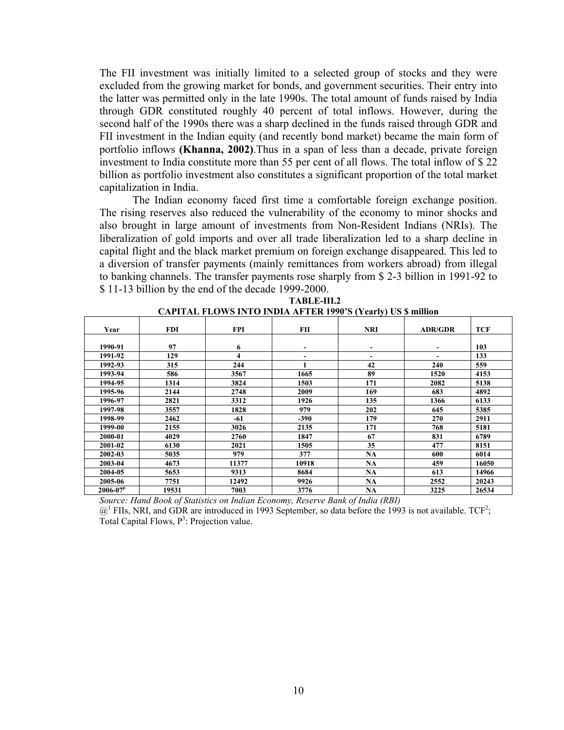The FII investment was initially limited to a selected group of stocks and they were excluded from the growing market for bonds, and government securities. Their entry into the latter was permitted only in the late 1990s. The total amount of funds raised by India through GDR constituted roughly 40 percent of total inflows. However, during the second half of the 1990s there was a sharp declined in the funds raised through GDR and FII investment in the Indian equity (and recently bond market) became the main form of portfolio inflows **(Khanna, 2002)**.Thus in a span of less than a decade, private foreign investment to India constitute more than 55 per cent of all flows. The total inflow of \$ 22 billion as portfolio investment also constitutes a significant proportion of the total market capitalization in India.

The Indian economy faced first time a comfortable foreign exchange position. The rising reserves also reduced the vulnerability of the economy to minor shocks and also brought in large amount of investments from Non-Resident Indians (NRIs). The liberalization of gold imports and over all trade liberalization led to a sharp decline in capital flight and the black market premium on foreign exchange disappeared. This led to a diversion of transfer payments (mainly remittances from workers abroad) from illegal to banking channels. The transfer payments rose sharply from \$ 2-3 billion in 1991-92 to \$ 11-13 billion by the end of the decade 1999-2000.

| Year         | <b>FDI</b> | <b>FPI</b> | <b>FII</b> | <b>NRI</b> | <b>ADR/GDR</b>           | <b>TCF</b> |
|--------------|------------|------------|------------|------------|--------------------------|------------|
|              |            |            |            |            |                          |            |
| 1990-91      | 97         | 6          | ٠          | -          | $\overline{\phantom{0}}$ | 103        |
| 1991-92      | 129        | 4          | -          | -          |                          | 133        |
| 1992-93      | 315        | 244        |            | 42         | 240                      | 559        |
| 1993-94      | 586        | 3567       | 1665       | 89         | 1520                     | 4153       |
| 1994-95      | 1314       | 3824       | 1503       | 171        | 2082                     | 5138       |
| 1995-96      | 2144       | 2748       | 2009       | 169        | 683                      | 4892       |
| 1996-97      | 2821       | 3312       | 1926       | 135        | 1366                     | 6133       |
| 1997-98      | 3557       | 1828       | 979        | 202        | 645                      | 5385       |
| 1998-99      | 2462       | $-61$      | $-390$     | 179        | 270                      | 2911       |
| 1999-00      | 2155       | 3026       | 2135       | 171        | 768                      | 5181       |
| 2000-01      | 4029       | 2760       | 1847       | 67         | 831                      | 6789       |
| 2001-02      | 6130       | 2021       | 1505       | 35         | 477                      | 8151       |
| 2002-03      | 5035       | 979        | 377        | <b>NA</b>  | 600                      | 6014       |
| 2003-04      | 4673       | 11377      | 10918      | NA         | 459                      | 16050      |
| 2004-05      | 5653       | 9313       | 8684       | <b>NA</b>  | 613                      | 14966      |
| 2005-06      | 7751       | 12492      | 9926       | <b>NA</b>  | 2552                     | 20243      |
| $2006 - 07p$ | 19531      | 7003       | 3776       | <b>NA</b>  | 3225                     | 26534      |

**TABLE-III.2 CAPITAL FLOWS INTO INDIA AFTER 1990'S (Yearly) US \$ million** 

*Source: Hand Book of Statistics on Indian Economy, Reserve Bank of India (RBI)* 

 $\omega^1$  FIIs, NRI, and GDR are introduced in 1993 September, so data before the 1993 is not available. TCF<sup>2</sup>; Total Capital Flows,  $P^3$ : Projection value.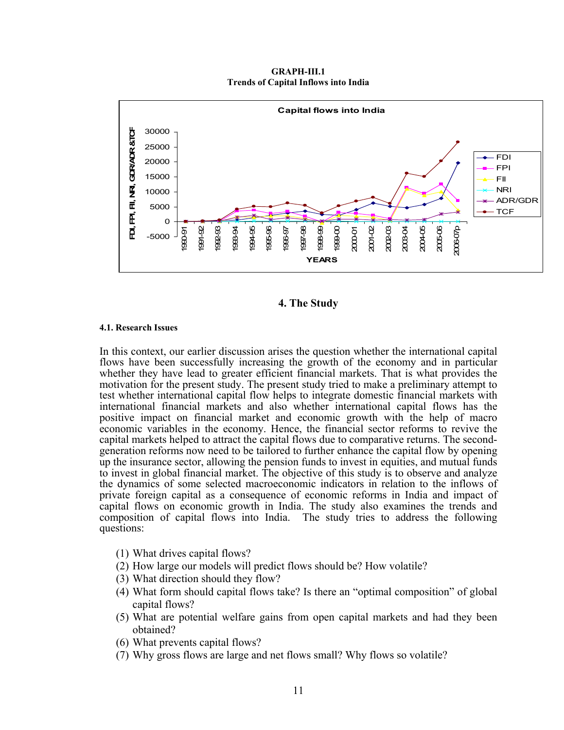**GRAPH-III.1 Trends of Capital Inflows into India** 



**4. The Study**

#### **4.1. Research Issues**

In this context, our earlier discussion arises the question whether the international capital flows have been successfully increasing the growth of the economy and in particular whether they have lead to greater efficient financial markets. That is what provides the motivation for the present study. The present study tried to make a preliminary attempt to test whether international capital flow helps to integrate domestic financial markets with international financial markets and also whether international capital flows has the positive impact on financial market and economic growth with the help of macro economic variables in the economy. Hence, the financial sector reforms to revive the capital markets helped to attract the capital flows due to comparative returns. The secondgeneration reforms now need to be tailored to further enhance the capital flow by opening up the insurance sector, allowing the pension funds to invest in equities, and mutual funds to invest in global financial market. The objective of this study is to observe and analyze the dynamics of some selected macroeconomic indicators in relation to the inflows of private foreign capital as a consequence of economic reforms in India and impact of capital flows on economic growth in India. The study also examines the trends and composition of capital flows into India. The study tries to address the following questions:

- (1) What drives capital flows?
- (2) How large our models will predict flows should be? How volatile?
- (3) What direction should they flow?
- (4) What form should capital flows take? Is there an "optimal composition" of global capital flows?
- (5) What are potential welfare gains from open capital markets and had they been obtained?
- (6) What prevents capital flows?
- (7) Why gross flows are large and net flows small? Why flows so volatile?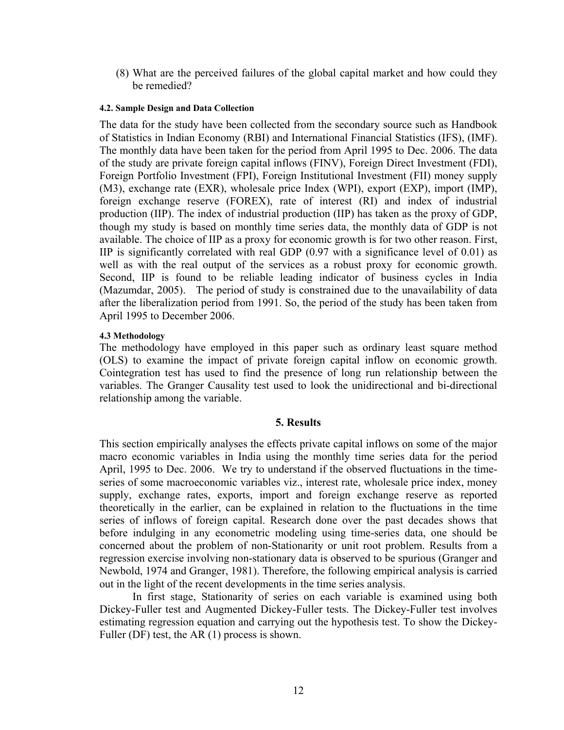(8) What are the perceived failures of the global capital market and how could they be remedied?

#### **4.2. Sample Design and Data Collection**

The data for the study have been collected from the secondary source such as Handbook of Statistics in Indian Economy (RBI) and International Financial Statistics (IFS), (IMF). The monthly data have been taken for the period from April 1995 to Dec. 2006. The data of the study are private foreign capital inflows (FINV), Foreign Direct Investment (FDI), Foreign Portfolio Investment (FPI), Foreign Institutional Investment (FII) money supply (M3), exchange rate (EXR), wholesale price Index (WPI), export (EXP), import (IMP), foreign exchange reserve (FOREX), rate of interest (RI) and index of industrial production (IIP). The index of industrial production (IIP) has taken as the proxy of GDP, though my study is based on monthly time series data, the monthly data of GDP is not available. The choice of IIP as a proxy for economic growth is for two other reason. First, IIP is significantly correlated with real GDP (0.97 with a significance level of 0.01) as well as with the real output of the services as a robust proxy for economic growth. Second, IIP is found to be reliable leading indicator of business cycles in India (Mazumdar, 2005). The period of study is constrained due to the unavailability of data after the liberalization period from 1991. So, the period of the study has been taken from April 1995 to December 2006.

#### **4.3 Methodology**

The methodology have employed in this paper such as ordinary least square method (OLS) to examine the impact of private foreign capital inflow on economic growth. Cointegration test has used to find the presence of long run relationship between the variables. The Granger Causality test used to look the unidirectional and bi-directional relationship among the variable.

#### **5. Results**

This section empirically analyses the effects private capital inflows on some of the major macro economic variables in India using the monthly time series data for the period April, 1995 to Dec. 2006. We try to understand if the observed fluctuations in the timeseries of some macroeconomic variables viz., interest rate, wholesale price index, money supply, exchange rates, exports, import and foreign exchange reserve as reported theoretically in the earlier, can be explained in relation to the fluctuations in the time series of inflows of foreign capital. Research done over the past decades shows that before indulging in any econometric modeling using time-series data, one should be concerned about the problem of non-Stationarity or unit root problem. Results from a regression exercise involving non-stationary data is observed to be spurious (Granger and Newbold, 1974 and Granger, 1981). Therefore, the following empirical analysis is carried out in the light of the recent developments in the time series analysis.

In first stage, Stationarity of series on each variable is examined using both Dickey-Fuller test and Augmented Dickey-Fuller tests. The Dickey-Fuller test involves estimating regression equation and carrying out the hypothesis test. To show the Dickey-Fuller (DF) test, the AR (1) process is shown.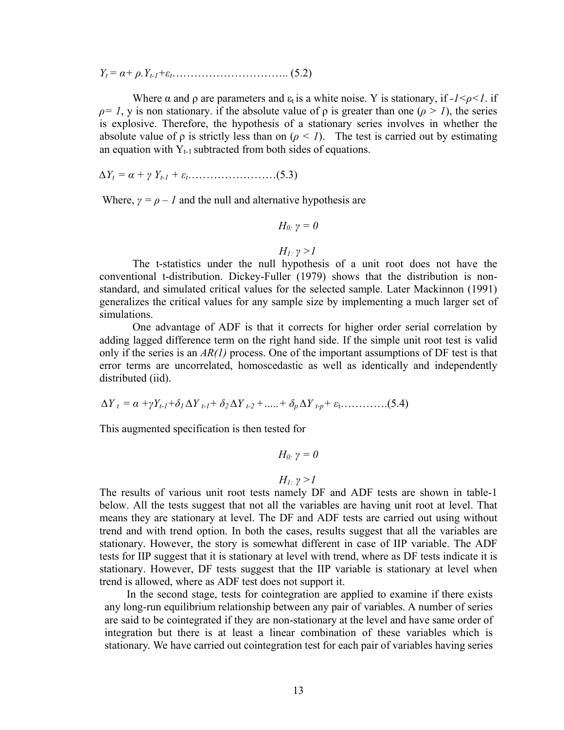*Yt = α+ ρ.Yt-1+εt*………………………….. (5.2)

Where  $\alpha$  and  $\rho$  are parameters and  $\varepsilon_t$  is a white noise. Y is stationary, if  $-I < \rho < I$ . if *ρ*= *I*, y is non stationary. if the absolute value of *ρ* is greater than one (*ρ* > *I*), the series is explosive. Therefore, the hypothesis of a stationary series involves in whether the absolute value of  $\rho$  is strictly less than on ( $\rho < 1$ ). The test is carried out by estimating an equation with  $Y_{t-1}$  subtracted from both sides of equations.

 $\Delta Y_t = \alpha + \gamma Y_{t-1} + \varepsilon_t$ ………………………(5.3)

Where,  $\gamma = \rho - I$  and the null and alternative hypothesis are

$$
H_{0:}\gamma=0
$$

#### *H<sub>1:</sub>*  $γ > 1$

The t-statistics under the null hypothesis of a unit root does not have the conventional t-distribution. Dickey-Fuller (1979) shows that the distribution is nonstandard, and simulated critical values for the selected sample. Later Mackinnon (1991) generalizes the critical values for any sample size by implementing a much larger set of simulations.

One advantage of ADF is that it corrects for higher order serial correlation by adding lagged difference term on the right hand side. If the simple unit root test is valid only if the series is an *AR(1)* process. One of the important assumptions of DF test is that error terms are uncorrelated, homoscedastic as well as identically and independently distributed (iid).

 $\Delta Y_t = \alpha + \gamma Y_{t-1} + \delta_1 \Delta Y_{t-1} + \delta_2 \Delta Y_{t-2} + \ldots + \delta_p \Delta Y_{t-p} + \varepsilon_t \ldots \ldots \ldots \ldots$  (5.4)

This augmented specification is then tested for

$$
H_{0:}\,\gamma=0
$$

$$
H_I,\, \gamma > I
$$

The results of various unit root tests namely DF and ADF tests are shown in table-1 below. All the tests suggest that not all the variables are having unit root at level. That means they are stationary at level. The DF and ADF tests are carried out using without trend and with trend option. In both the cases, results suggest that all the variables are stationary. However, the story is somewhat different in case of IIP variable. The ADF tests for IIP suggest that it is stationary at level with trend, where as DF tests indicate it is stationary. However, DF tests suggest that the IIP variable is stationary at level when trend is allowed, where as ADF test does not support it.

In the second stage, tests for cointegration are applied to examine if there exists any long-run equilibrium relationship between any pair of variables. A number of series are said to be cointegrated if they are non-stationary at the level and have same order of integration but there is at least a linear combination of these variables which is stationary. We have carried out cointegration test for each pair of variables having series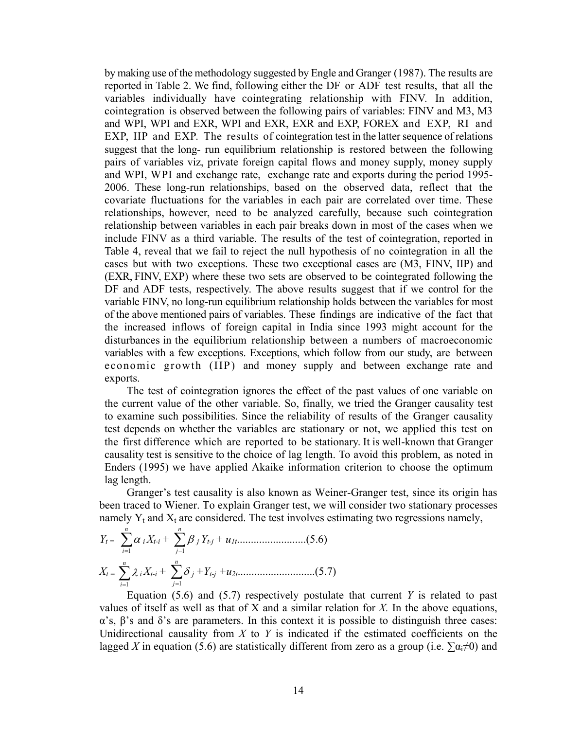by making use of the methodology suggested by Engle and Granger (1987). The results are reported in Table 2. We find, following either the DF or ADF test results, that all the variables individually have cointegrating relationship with FINV. In addition, cointegration is observed between the following pairs of variables: FINV and M3, M3 and WPI, WPI and EXR, WPI and EXR, EXR and EXP, FOREX and EXP, RI and EXP, IIP and EXP. The results of cointegration test in the latter sequence of relations suggest that the long- run equilibrium relationship is restored between the following pairs of variables viz, private foreign capital flows and money supply, money supply and WPI, WPI and exchange rate, exchange rate and exports during the period 1995- 2006. These long-run relationships, based on the observed data, reflect that the covariate fluctuations for the variables in each pair are correlated over time. These relationships, however, need to be analyzed carefully, because such cointegration relationship between variables in each pair breaks down in most of the cases when we include FINV as a third variable. The results of the test of cointegration, reported in Table 4, reveal that we fail to reject the null hypothesis of no cointegration in all the cases but with two exceptions. These two exceptional cases are (M3, FINV, IIP) and (EXR, FINV, EXP) where these two sets are observed to be cointegrated following the DF and ADF tests, respectively. The above results suggest that if we control for the variable FINV, no long-run equilibrium relationship holds between the variables for most of the above mentioned pairs of variables. These findings are indicative of the fact that the increased inflows of foreign capital in India since 1993 might account for the disturbances in the equilibrium relationship between a numbers of macroeconomic variables with a few exceptions. Exceptions, which follow from our study, are between economic growth (IIP) and money supply and between exchange rate and exports.

The test of cointegration ignores the effect of the past values of one variable on the current value of the other variable. So, finally, we tried the Granger causality test to examine such possibilities. Since the reliability of results of the Granger causality test depends on whether the variables are stationary or not, we applied this test on the first difference which are reported to be stationary. It is well-known that Granger causality test is sensitive to the choice of lag length. To avoid this problem, as noted in Enders (1995) we have applied Akaike information criterion to choose the optimum lag length.

Granger's test causality is also known as Weiner-Granger test, since its origin has been traced to Wiener. To explain Granger test, we will consider two stationary processes namely  $Y_t$  and  $X_t$  are considered. The test involves estimating two regressions namely,

$$
Y_{t} = \sum_{i=1}^{n} \alpha_{i} X_{t-i} + \sum_{j=1}^{n} \beta_{j} Y_{t-j} + u_{1t}
$$
 (5.6)  

$$
X_{t} = \sum_{i=1}^{n} \lambda_{i} X_{t-i} + \sum_{j=1}^{n} \delta_{j} + Y_{t-j} + u_{2t}
$$
 (5.7)

Equation (5.6) and (5.7) respectively postulate that current *Y* is related to past values of itself as well as that of X and a similar relation for *X.* In the above equations,  $α's$ ,  $β's$  and  $δ's$  are parameters. In this context it is possible to distinguish three cases: Unidirectional causality from  $X$  to  $Y$  is indicated if the estimated coefficients on the lagged *X* in equation (5.6) are statistically different from zero as a group (i.e.  $\sum a_i \neq 0$ ) and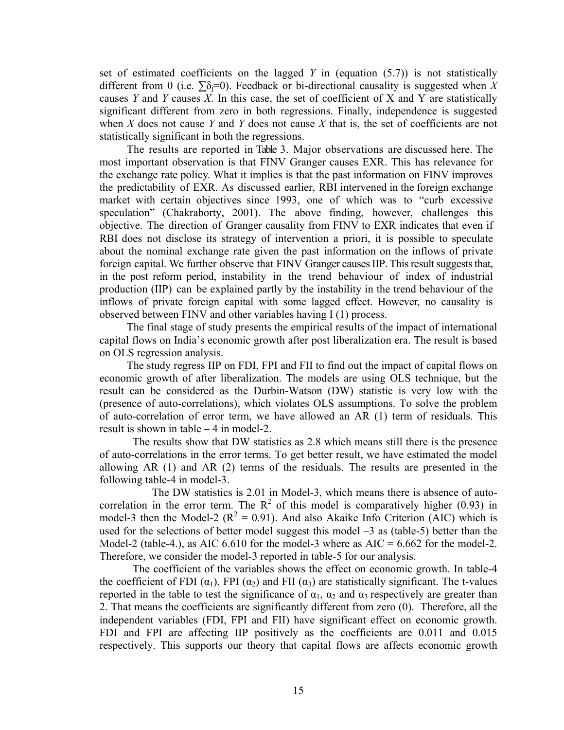set of estimated coefficients on the lagged *Y* in (equation (5.7)) is not statistically different from 0 (i.e.  $\sum \delta_i = 0$ ). Feedback or bi-directional causality is suggested when X causes *Y* and *Y* causes *X*. In this case, the set of coefficient of X and Y are statistically significant different from zero in both regressions. Finally, independence is suggested when *X* does not cause *Y* and *Y* does not cause *X* that is, the set of coefficients are not statistically significant in both the regressions.

The results are reported in Table 3. Major observations are discussed here. The most important observation is that FINV Granger causes EXR. This has relevance for the exchange rate policy. What it implies is that the past information on FINV improves the predictability of EXR. As discussed earlier, RBI intervened in the foreign exchange market with certain objectives since 1993, one of which was to "curb excessive speculation" (Chakraborty, 2001). The above finding, however, challenges this objective. The direction of Granger causality from FINV to EXR indicates that even if RBI does not disclose its strategy of intervention a priori, it is possible to speculate about the nominal exchange rate given the past information on the inflows of private foreign capital. We further observe that FINV Granger causes IIP. This result suggests that, in the post reform period, instability in the trend behaviour of index of industrial production (IIP) can be explained partly by the instability in the trend behaviour of the inflows of private foreign capital with some lagged effect. However, no causality is observed between FINV and other variables having I (1) process.

The final stage of study presents the empirical results of the impact of international capital flows on India's economic growth after post liberalization era. The result is based on OLS regression analysis.

The study regress IIP on FDI, FPI and FII to find out the impact of capital flows on economic growth of after liberalization. The models are using OLS technique, but the result can be considered as the Durbin-Watson (DW) statistic is very low with the (presence of auto-correlations), which violates OLS assumptions. To solve the problem of auto-correlation of error term, we have allowed an AR (1) term of residuals. This result is shown in table – 4 in model-2.

The results show that DW statistics as 2.8 which means still there is the presence of auto-correlations in the error terms. To get better result, we have estimated the model allowing AR (1) and AR (2) terms of the residuals. The results are presented in the following table-4 in model-3.

 The DW statistics is 2.01 in Model-3, which means there is absence of autocorrelation in the error term. The  $\mathbb{R}^2$  of this model is comparatively higher (0.93) in model-3 then the Model-2 ( $R^2 = 0.91$ ). And also Akaike Info Criterion (AIC) which is used for the selections of better model suggest this model –3 as (table-5) better than the Model-2 (table-4.), as AIC  $6.610$  for the model-3 where as AIC =  $6.662$  for the model-2. Therefore, we consider the model-3 reported in table-5 for our analysis.

The coefficient of the variables shows the effect on economic growth. In table-4 the coefficient of FDI  $(\alpha_1)$ , FPI  $(\alpha_2)$  and FII  $(\alpha_3)$  are statistically significant. The t-values reported in the table to test the significance of  $\alpha_1$ ,  $\alpha_2$  and  $\alpha_3$  respectively are greater than 2. That means the coefficients are significantly different from zero (0). Therefore, all the independent variables (FDI, FPI and FII) have significant effect on economic growth. FDI and FPI are affecting IIP positively as the coefficients are 0.011 and 0.015 respectively. This supports our theory that capital flows are affects economic growth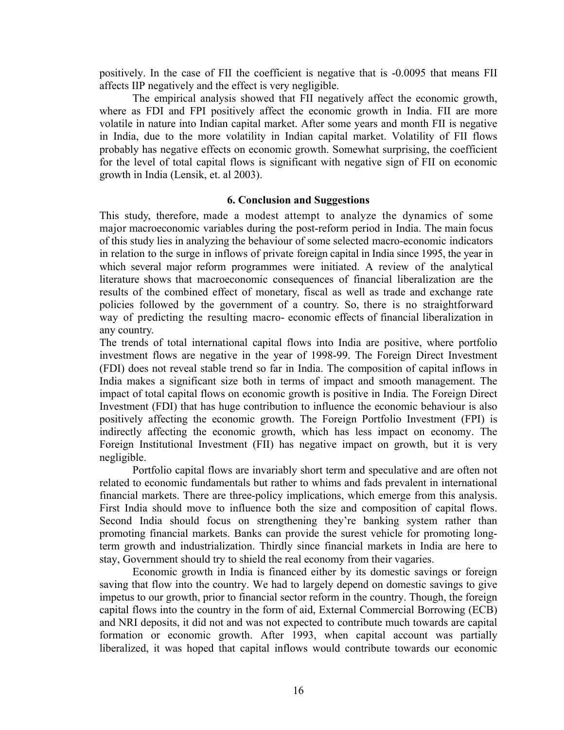positively. In the case of FII the coefficient is negative that is -0.0095 that means FII affects IIP negatively and the effect is very negligible.

The empirical analysis showed that FII negatively affect the economic growth, where as FDI and FPI positively affect the economic growth in India. FII are more volatile in nature into Indian capital market. After some years and month FII is negative in India, due to the more volatility in Indian capital market. Volatility of FII flows probably has negative effects on economic growth. Somewhat surprising, the coefficient for the level of total capital flows is significant with negative sign of FII on economic growth in India (Lensik, et. al 2003).

#### **6. Conclusion and Suggestions**

This study, therefore, made a modest attempt to analyze the dynamics of some major macroeconomic variables during the post-reform period in India. The main focus of this study lies in analyzing the behaviour of some selected macro-economic indicators in relation to the surge in inflows of private foreign capital in India since 1995, the year in which several major reform programmes were initiated. A review of the analytical literature shows that macroeconomic consequences of financial liberalization are the results of the combined effect of monetary, fiscal as well as trade and exchange rate policies followed by the government of a country. So, there is no straightforward way of predicting the resulting macro- economic effects of financial liberalization in any country.

The trends of total international capital flows into India are positive, where portfolio investment flows are negative in the year of 1998-99. The Foreign Direct Investment (FDI) does not reveal stable trend so far in India. The composition of capital inflows in India makes a significant size both in terms of impact and smooth management. The impact of total capital flows on economic growth is positive in India. The Foreign Direct Investment (FDI) that has huge contribution to influence the economic behaviour is also positively affecting the economic growth. The Foreign Portfolio Investment (FPI) is indirectly affecting the economic growth, which has less impact on economy. The Foreign Institutional Investment (FII) has negative impact on growth, but it is very negligible.

Portfolio capital flows are invariably short term and speculative and are often not related to economic fundamentals but rather to whims and fads prevalent in international financial markets. There are three-policy implications, which emerge from this analysis. First India should move to influence both the size and composition of capital flows. Second India should focus on strengthening they're banking system rather than promoting financial markets. Banks can provide the surest vehicle for promoting longterm growth and industrialization. Thirdly since financial markets in India are here to stay, Government should try to shield the real economy from their vagaries.

Economic growth in India is financed either by its domestic savings or foreign saving that flow into the country. We had to largely depend on domestic savings to give impetus to our growth, prior to financial sector reform in the country. Though, the foreign capital flows into the country in the form of aid, External Commercial Borrowing (ECB) and NRI deposits, it did not and was not expected to contribute much towards are capital formation or economic growth. After 1993, when capital account was partially liberalized, it was hoped that capital inflows would contribute towards our economic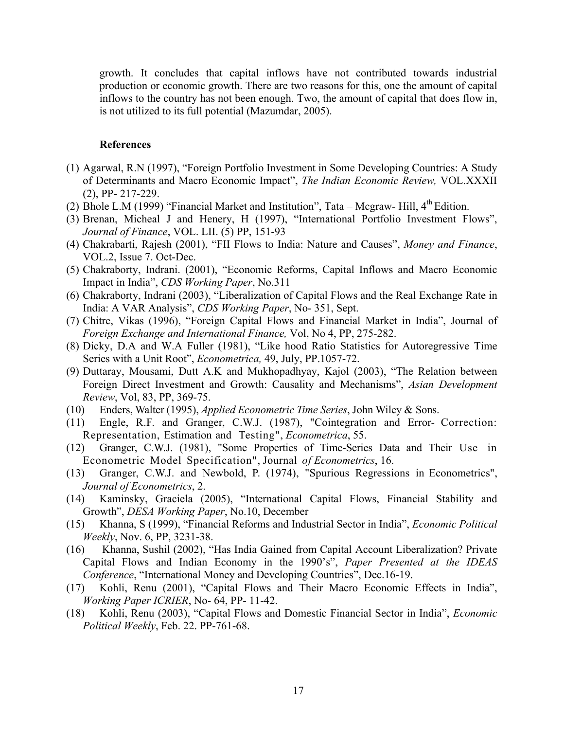growth. It concludes that capital inflows have not contributed towards industrial production or economic growth. There are two reasons for this, one the amount of capital inflows to the country has not been enough. Two, the amount of capital that does flow in, is not utilized to its full potential (Mazumdar, 2005).

#### **References**

- (1) Agarwal, R.N (1997), "Foreign Portfolio Investment in Some Developing Countries: A Study of Determinants and Macro Economic Impact", *The Indian Economic Review,* VOL.XXXII (2), PP- 217-229.
- (2) Bhole L.M (1999) "Financial Market and Institution", Tata Mcgraw- Hill,  $4<sup>th</sup>$  Edition.
- (3) Brenan, Micheal J and Henery, H (1997), "International Portfolio Investment Flows", *Journal of Finance*, VOL. LII. (5) PP, 151-93
- (4) Chakrabarti, Rajesh (2001), "FII Flows to India: Nature and Causes", *Money and Finance*, VOL.2, Issue 7. Oct-Dec.
- (5) Chakraborty, Indrani. (2001), "Economic Reforms, Capital Inflows and Macro Economic Impact in India", *CDS Working Paper*, No.311
- (6) Chakraborty, Indrani (2003), "Liberalization of Capital Flows and the Real Exchange Rate in India: A VAR Analysis", *CDS Working Paper*, No- 351, Sept.
- (7) Chitre, Vikas (1996), "Foreign Capital Flows and Financial Market in India", Journal of *Foreign Exchange and International Finance,* Vol, No 4, PP, 275-282.
- (8) Dicky, D.A and W.A Fuller (1981), "Like hood Ratio Statistics for Autoregressive Time Series with a Unit Root", *Econometrica,* 49, July, PP.1057-72.
- (9) Duttaray, Mousami, Dutt A.K and Mukhopadhyay, Kajol (2003), "The Relation between Foreign Direct Investment and Growth: Causality and Mechanisms", *Asian Development Review*, Vol, 83, PP, 369-75.
- (10) Enders, Walter (1995), *Applied Econometric Time Series*, John Wiley & Sons.
- (11) Engle, R.F. and Granger, C.W.J. (1987), "Cointegration and Error- Correction: Representation, Estimation and Testing", *Econometrica*, 55.
- (12) Granger, C.W.J. (1981), "Some Properties of Time-Series Data and Their Use in Econometric Model Specification", Journal *of Econometrics*, 16.
- (13) Granger, C.W.J. and Newbold, P. (1974), "Spurious Regressions in Econometrics", *Journal of Econometrics*, 2.
- (14) Kaminsky, Graciela (2005), "International Capital Flows, Financial Stability and Growth", *DESA Working Paper*, No.10, December
- (15) Khanna, S (1999), "Financial Reforms and Industrial Sector in India", *Economic Political Weekly*, Nov. 6, PP, 3231-38.
- (16) Khanna, Sushil (2002), "Has India Gained from Capital Account Liberalization? Private Capital Flows and Indian Economy in the 1990's", *Paper Presented at the IDEAS Conference*, "International Money and Developing Countries", Dec.16-19.
- (17) Kohli, Renu (2001), "Capital Flows and Their Macro Economic Effects in India", *Working Paper ICRIER*, No- 64, PP- 11-42.
- (18) Kohli, Renu (2003), "Capital Flows and Domestic Financial Sector in India", *Economic Political Weekly*, Feb. 22. PP-761-68.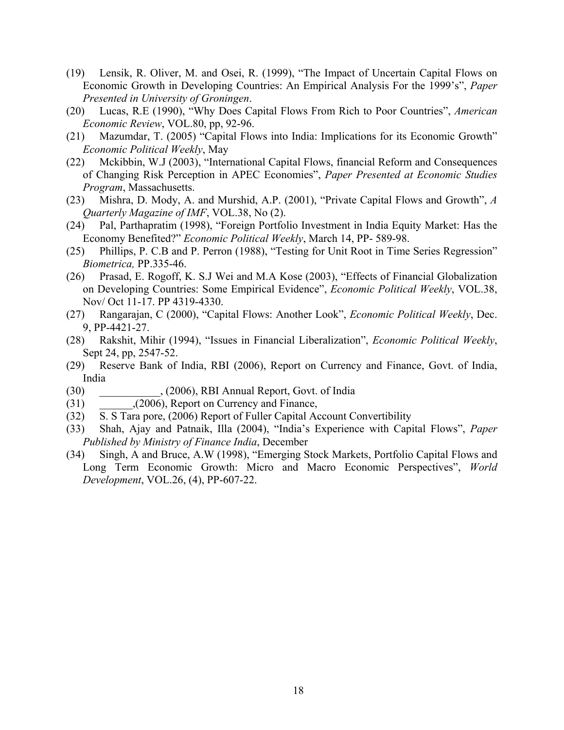- (19) Lensik, R. Oliver, M. and Osei, R. (1999), "The Impact of Uncertain Capital Flows on Economic Growth in Developing Countries: An Empirical Analysis For the 1999's", *Paper Presented in University of Groningen*.
- (20) Lucas, R.E (1990), "Why Does Capital Flows From Rich to Poor Countries", *American Economic Review*, VOL.80, pp, 92-96.
- (21) Mazumdar, T. (2005) "Capital Flows into India: Implications for its Economic Growth" *Economic Political Weekly*, May
- (22) Mckibbin, W.J (2003), "International Capital Flows, financial Reform and Consequences of Changing Risk Perception in APEC Economies", *Paper Presented at Economic Studies Program*, Massachusetts.
- (23) Mishra, D. Mody, A. and Murshid, A.P. (2001), "Private Capital Flows and Growth", *A Quarterly Magazine of IMF*, VOL.38, No (2).
- (24) Pal, Parthapratim (1998), "Foreign Portfolio Investment in India Equity Market: Has the Economy Benefited?" *Economic Political Weekly*, March 14, PP- 589-98.
- (25) Phillips, P. C.B and P. Perron (1988), "Testing for Unit Root in Time Series Regression" *Biometrica,* PP.335-46.
- (26) Prasad, E. Rogoff, K. S.J Wei and M.A Kose (2003), "Effects of Financial Globalization on Developing Countries: Some Empirical Evidence", *Economic Political Weekly*, VOL.38, Nov/ Oct 11-17. PP 4319-4330.
- (27) Rangarajan, C (2000), "Capital Flows: Another Look", *Economic Political Weekly*, Dec. 9, PP-4421-27.
- (28) Rakshit, Mihir (1994), "Issues in Financial Liberalization", *Economic Political Weekly*, Sept 24, pp, 2547-52.
- (29) Reserve Bank of India, RBI (2006), Report on Currency and Finance, Govt. of India, India
- (30) \_\_\_\_\_\_\_\_\_\_\_, (2006), RBI Annual Report, Govt. of India
- (31) \_\_\_\_\_\_,(2006), Report on Currency and Finance,
- (32) S. S Tara pore, (2006) Report of Fuller Capital Account Convertibility
- (33) Shah, Ajay and Patnaik, Illa (2004), "India's Experience with Capital Flows", *Paper Published by Ministry of Finance India*, December
- (34) Singh, A and Bruce, A.W (1998), "Emerging Stock Markets, Portfolio Capital Flows and Long Term Economic Growth: Micro and Macro Economic Perspectives", *World Development*, VOL.26, (4), PP-607-22.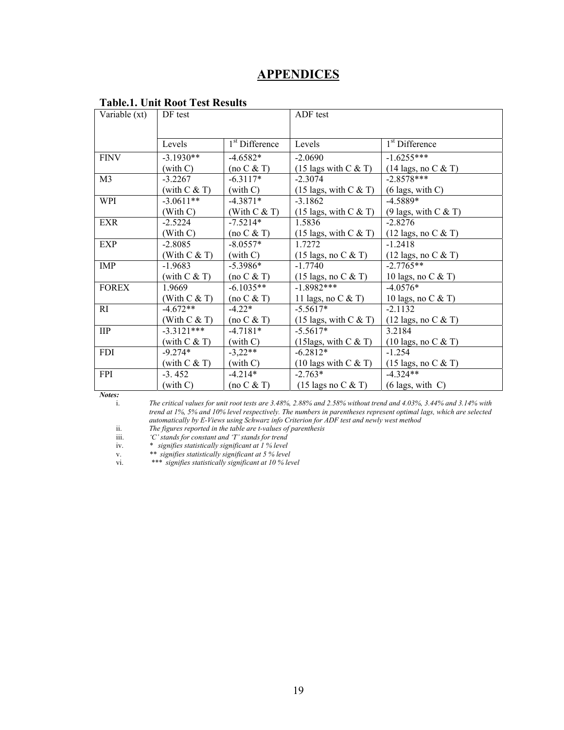# **APPENDICES**

| Tabie.I. Umit Koot Test Kesuits |                 |                            |                                         |                                 |  |  |  |  |  |
|---------------------------------|-----------------|----------------------------|-----------------------------------------|---------------------------------|--|--|--|--|--|
| Variable (xt)                   | DF test         |                            | ADF test                                |                                 |  |  |  |  |  |
|                                 |                 |                            |                                         |                                 |  |  |  |  |  |
|                                 | Levels          | 1 <sup>st</sup> Difference | Levels                                  | 1 <sup>st</sup> Difference      |  |  |  |  |  |
| <b>FINV</b>                     | $-3.1930**$     | $-4.6582*$                 | $-2.0690$                               | $-1.6255***$                    |  |  |  |  |  |
|                                 | (with C)        | (no C & T)                 | $(15 \text{ lags with C & T})$          | $(14 \text{ lags, no C & T})$   |  |  |  |  |  |
| M <sub>3</sub>                  | $-3.2267$       | $-6.3117*$                 | $-2.3074$                               | $-2.8578***$                    |  |  |  |  |  |
|                                 | (with $C & T$ ) | (with C)                   | $(15 \text{ lags, with } C \& T)$       | $(6 \text{ lags, with C})$      |  |  |  |  |  |
| <b>WPI</b>                      | $-3.0611**$     | -4.3871*                   | $-3.1862$                               | $-4.5889*$                      |  |  |  |  |  |
|                                 | (With C)        | (With $C & T$ )            | $(15 \text{ lags, with } C \& T)$       | (9 lags, with $C & T$ )         |  |  |  |  |  |
| <b>EXR</b>                      | $-2.5224$       | -7.5214*                   | 1.5836                                  | $-2.8276$                       |  |  |  |  |  |
|                                 | (With C)        | (no C & T)                 | $(15 \text{ lags, with } C \& T)$       | $(12 \text{ lags, no C & T})$   |  |  |  |  |  |
| <b>EXP</b>                      | $-2.8085$       | $-8.0557*$                 | 1.7272                                  | $-1.2418$                       |  |  |  |  |  |
|                                 | (With $C & T$ ) | (with C)                   | $(15 \text{ lags, no C & T})$           | $(12 \text{ lags, no } C \& T)$ |  |  |  |  |  |
| <b>IMP</b>                      | $-1.9683$       | $-5.3986*$                 | $-1.7740$                               | $-2.7765**$                     |  |  |  |  |  |
|                                 | (with $C & T$ ) | (no C & T)                 | $(15 \text{ lags, no C & T})$           | 10 lags, no $C & T$ )           |  |  |  |  |  |
| <b>FOREX</b>                    | 1.9669          | $-6.1035**$                | $-1.8982***$                            | $-4.0576*$                      |  |  |  |  |  |
|                                 | (With $C & T$ ) | (no C & T)                 | 11 lags, no $C & T$                     | 10 lags, no $C & T$             |  |  |  |  |  |
| RI                              | $-4.672**$      | $-4.22*$                   | $-5.5617*$                              | $-2.1132$                       |  |  |  |  |  |
|                                 | (With $C & T$ ) | (no C & T)                 | $(15 \text{ lags, with } C \& T)$       | $(12 \text{ lags, no } C \& T)$ |  |  |  |  |  |
| $\mathbf{H}$                    | $-3.3121***$    | $-4.7181*$                 | $-5.5617*$                              | 3.2184                          |  |  |  |  |  |
|                                 | (with $C & T$ ) | (with C)                   | $(15 \text{lags}, \text{with } C \& T)$ | $(10 \text{ lags, no C & T})$   |  |  |  |  |  |
| <b>FDI</b>                      | $-9.274*$       | $-3,22**$                  | $-6.2812*$                              | $-1.254$                        |  |  |  |  |  |
|                                 | (with $C & T$ ) | (with C)                   | (10 lags with $C & T$ )                 | $(15 \text{ lags, no C & T})$   |  |  |  |  |  |
| <b>FPI</b>                      | $-3.452$        | $-4.214*$                  | $-2.763*$                               | $-4.324**$                      |  |  |  |  |  |
|                                 | (with C)        | (no C & T)                 | $(15 \text{ lags no C & T})$            | $(6 \text{ lags, with } C)$     |  |  |  |  |  |

# **Table.1. Unit Root Test Results**

*Notes:* 

i. *The critical values for unit root tests are 3.48%, 2.88% and 2.58% without trend and 4.03%, 3.44% and 3.14% with trend at 1%, 5% and 10% level respectively. The numbers in parentheses represent optimal lags, which are selected automatically by E-Views using Schwarz info Criterion for ADF test and newly west method* 

ii. *The figures reported in the table are t-values of parenthesis* 

iii. *'C' stands for constant and 'T' stands for trend* 

iv. *\* signifies statistically significant at 1 % level* 

v. *\*\* signifies statistically significant at 5 % level* 

vi. *\*\*\* signifies statistically significant at 10 % level*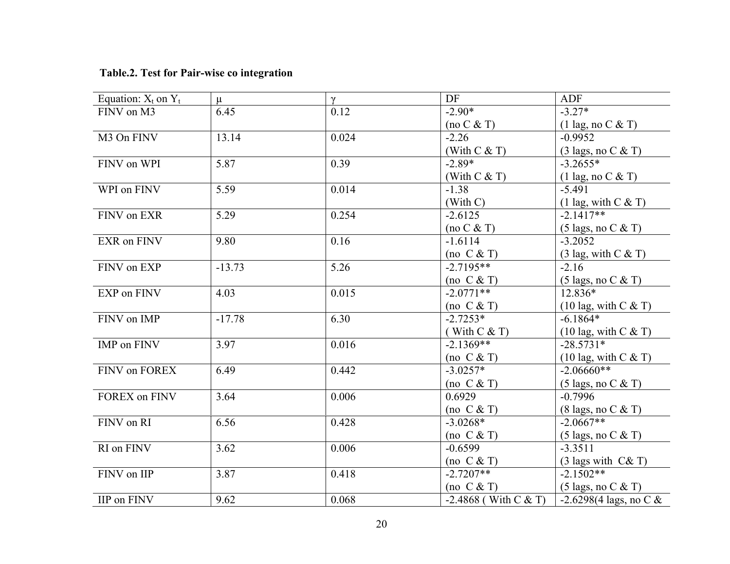# **Table.2. Test for Pair-wise co integration**

| Equation: $X_t$ on $Y_t$ | $\mu$    | $\gamma$ | DF                     | ADF                                     |
|--------------------------|----------|----------|------------------------|-----------------------------------------|
| FINV on M3               | 6.45     | 0.12     | $-2.90*$               | $-3.27*$                                |
|                          |          |          | (no C & T)             | $(1 \text{ lag}, \text{no } C \& T)$    |
| M3 On FINV               | 13.14    | 0.024    | $-2.26$                | $-0.9952$                               |
|                          |          |          | (With $C & T$ )        | $(3 \text{ lags, no C & T})$            |
| FINV on WPI              | 5.87     | 0.39     | $-2.89*$               | $-3.2655*$                              |
|                          |          |          | (With $C & T$ )        | $(1 \text{ lag, no C & T})$             |
| WPI on FINV              | 5.59     | 0.014    | $-1.38$                | $-5.491$                                |
|                          |          |          | (With C)               | $(1 \text{ lag}, \text{with } C \& T)$  |
| FINV on EXR              | 5.29     | 0.254    | $-2.6125$              | $-2.1417**$                             |
|                          |          |          | (no C & T)             | (5 lags, no C & T)                      |
| <b>EXR</b> on FINV       | 9.80     | 0.16     | $-1.6114$              | $-3.2052$                               |
|                          |          |          | (no $C & T$ )          | $(3 \text{ lag}, \text{with } C \& T)$  |
| FINV on EXP              | $-13.73$ | 5.26     | $-2.7195**$            | $-2.16$                                 |
|                          |          |          | (no $C & T$ )          | $(5 \text{ lags, no C & T})$            |
| <b>EXP</b> on FINV       | 4.03     | 0.015    | $-2.0771**$            | 12.836*                                 |
|                          |          |          | (no $C & T$ )          | $(10 \text{ lag}, \text{with } C \& T)$ |
| FINV on IMP              | $-17.78$ | 6.30     | $-2.7253*$             | $-6.1864*$                              |
|                          |          |          | (With $C & T$ )        | $(10 \text{ lag}, \text{with } C \& T)$ |
| IMP on FINV              | 3.97     | 0.016    | $-2.1369**$            | $-28.5731*$                             |
|                          |          |          | (no $C & T$ )          | $(10 \text{ lag}, \text{with } C \& T)$ |
| FINV on FOREX            | 6.49     | 0.442    | $-3.0257*$             | $-2.06660**$                            |
|                          |          |          | (no $C & T$ )          | $(5 \text{ lags, no C & T})$            |
| <b>FOREX on FINV</b>     | 3.64     | 0.006    | 0.6929                 | $-0.7996$                               |
|                          |          |          | (no $C & T$ )          | $(8 \text{ lags, no C & T})$            |
| FINV on RI               | 6.56     | 0.428    | $-3.0268*$             | $-2.0667**$                             |
|                          |          |          | (no $C & T$ )          | $(5 \text{ lags, no C & T})$            |
| RI on FINV               | 3.62     | 0.006    | $-0.6599$              | $-3.3511$                               |
|                          |          |          | (no $C & T$ )          | $(3 \text{ lags with } C\& T)$          |
| FINV on IIP              | 3.87     | 0.418    | $-2.7207**$            | $-2.1502**$                             |
|                          |          |          | (no $C & T$ )          | $(5 \text{ lags, no C & T})$            |
| <b>IIP</b> on FINV       | 9.62     | 0.068    | $-2.4868$ (With C & T) | -2.6298(4 lags, no C $&$                |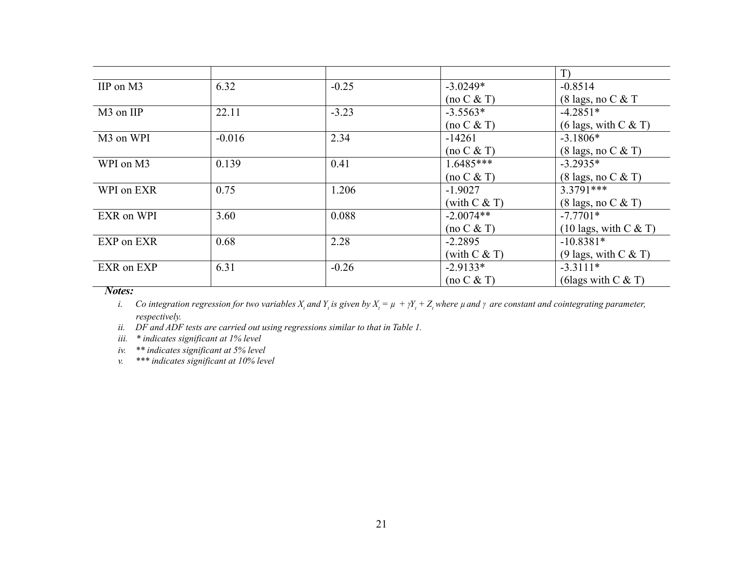|                       |          |         |                 | T)                                       |
|-----------------------|----------|---------|-----------------|------------------------------------------|
| IIP on M3             | 6.32     | $-0.25$ | $-3.0249*$      | $-0.8514$                                |
|                       |          |         | (no C & T)      | $(8 \text{ lags, no C & T})$             |
| M <sub>3</sub> on IIP | 22.11    | $-3.23$ | $-3.5563*$      | $-4.2851*$                               |
|                       |          |         | (no C & T)      | (6 lags, with $C & T$ )                  |
| M <sub>3</sub> on WPI | $-0.016$ | 2.34    | $-14261$        | $-3.1806*$                               |
|                       |          |         | (no C & T)      | $(8 \text{ lags, no C & T})$             |
| WPI on M3             | 0.139    | 0.41    | $1.6485***$     | $-3.2935*$                               |
|                       |          |         | (no C & T)      | $(8 \text{ lags, no C & T})$             |
| WPI on EXR            | 0.75     | 1.206   | $-1.9027$       | 3.3791***                                |
|                       |          |         | (with $C & T$ ) | $(8 \text{ lags, no C & T})$             |
| EXR on WPI            | 3.60     | 0.088   | $-2.0074**$     | $-7.7701*$                               |
|                       |          |         | (no C & T)      | $(10 \text{ lags}, \text{with } C \& T)$ |
| EXP on EXR            | 0.68     | 2.28    | $-2.2895$       | $-10.8381*$                              |
|                       |          |         | (with $C & T$ ) | $(9 \text{ lags}, \text{with } C \& T)$  |
| EXR on EXP            | 6.31     | $-0.26$ | $-2.9133*$      | $-3.3111*$                               |
|                       |          |         | (no C & T)      | (6 lags with $C & T$ )                   |

*Notes:* 

*i.* Co integration regression for two variables  $X_t$  and  $Y_t$  is given by  $X_t = \mu + \gamma Y_t + Z_t$  where  $\mu$  and  $\gamma$  are constant and cointegrating parameter, *respectively.* 

*ii. DF and ADF tests are carried out using regressions similar to that in Table 1.* 

*iii. \* indicates significant at 1% level* 

*iv. \*\* indicates significant at 5% level* 

*v. \*\*\* indicates significant at 10% level*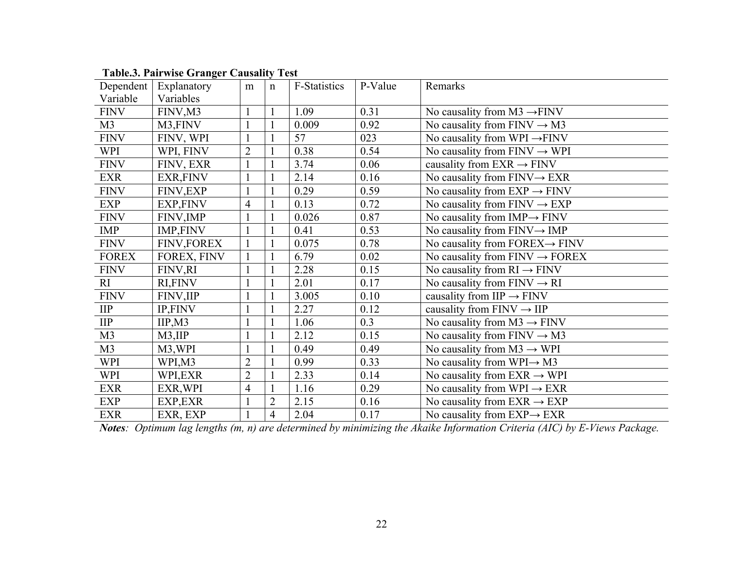| Dependent   Explanatory | m              | $\mathbf n$    | F-Statistics | P-Value | Remarks                                                  |
|-------------------------|----------------|----------------|--------------|---------|----------------------------------------------------------|
| Variables               |                |                |              |         |                                                          |
| FINV, M3                |                | 1              | 1.09         | 0.31    | No causality from $M3 \rightarrow FINV$                  |
| M3,FINV                 |                |                | 0.009        | 0.92    | No causality from $\text{FINV} \rightarrow \text{M3}$    |
| FINV, WPI               |                |                | 57           | 023     | No causality from WPI $\rightarrow$ FINV                 |
| WPI, FINV               | $\overline{2}$ |                | 0.38         | 0.54    | No causality from $\text{FINV} \rightarrow \text{WPI}$   |
| FINV, EXR               |                |                | 3.74         | 0.06    | causality from $EXR \rightarrow FINV$                    |
| <b>EXR,FINV</b>         |                |                | 2.14         | 0.16    | No causality from $FINV \rightarrow EXR$                 |
| FINV,EXP                |                | 1              | 0.29         | 0.59    | No causality from $EXP \rightarrow FINV$                 |
| <b>EXP,FINV</b>         | $\overline{4}$ |                | 0.13         | 0.72    | No causality from $\text{FINV} \rightarrow \text{EXP}$   |
| <b>FINV, IMP</b>        |                |                | 0.026        | 0.87    | No causality from $IMP \rightarrow FINV$                 |
| <b>IMP,FINV</b>         |                |                | 0.41         | 0.53    | No causality from $\text{FINV} \rightarrow \text{IMP}$   |
| <b>FINV,FOREX</b>       |                |                | 0.075        | 0.78    | No causality from FOREX $\rightarrow$ FINV               |
| FOREX, FINV             |                |                | 6.79         | 0.02    | No causality from $\text{FINV} \rightarrow \text{FOREX}$ |
| <b>FINV,RI</b>          |                |                | 2.28         | 0.15    | No causality from $RI \rightarrow FINV$                  |
| <b>RI,FINV</b>          |                |                | 2.01         | 0.17    | No causality from $\text{FINV} \rightarrow \text{RI}$    |
| <b>FINV, IIP</b>        |                |                | 3.005        | 0.10    | causality from $\text{HP} \rightarrow \text{FINV}$       |
| <b>IP,FINV</b>          |                |                | 2.27         | 0.12    | causality from $\text{FINV} \rightarrow \text{HP}$       |
| HP, M3                  |                |                | 1.06         | 0.3     | No causality from $M3 \rightarrow FINV$                  |
| M3, HP                  |                |                | 2.12         | 0.15    | No causality from $\text{FINV} \rightarrow \text{M3}$    |
| M3, WPI                 |                |                | 0.49         | 0.49    | No causality from $M3 \rightarrow WPI$                   |
| WPI,M3                  | $\overline{2}$ |                | 0.99         | 0.33    | No causality from WPI $\rightarrow$ M3                   |
| WPI,EXR                 | $\overline{2}$ |                | 2.33         | 0.14    | No causality from $EXR \rightarrow WPI$                  |
| EXR, WPI                | $\overline{4}$ | $\mathbf{1}$   | 1.16         | 0.29    | No causality from WPI $\rightarrow$ EXR                  |
| EXP, EXR                |                | $\overline{2}$ | 2.15         | 0.16    | No causality from $EXR \rightarrow EXP$                  |
| EXR, EXP                |                | $\overline{4}$ | 2.04         | 0.17    | No causality from $EXP\rightarrow EXR$                   |
|                         |                |                |              |         |                                                          |

 **Table.3. Pairwise Granger Causality Test** 

*Notes: Optimum lag lengths (m, n) are determined by minimizing the Akaike Information Criteria (AIC) by E-Views Package.*